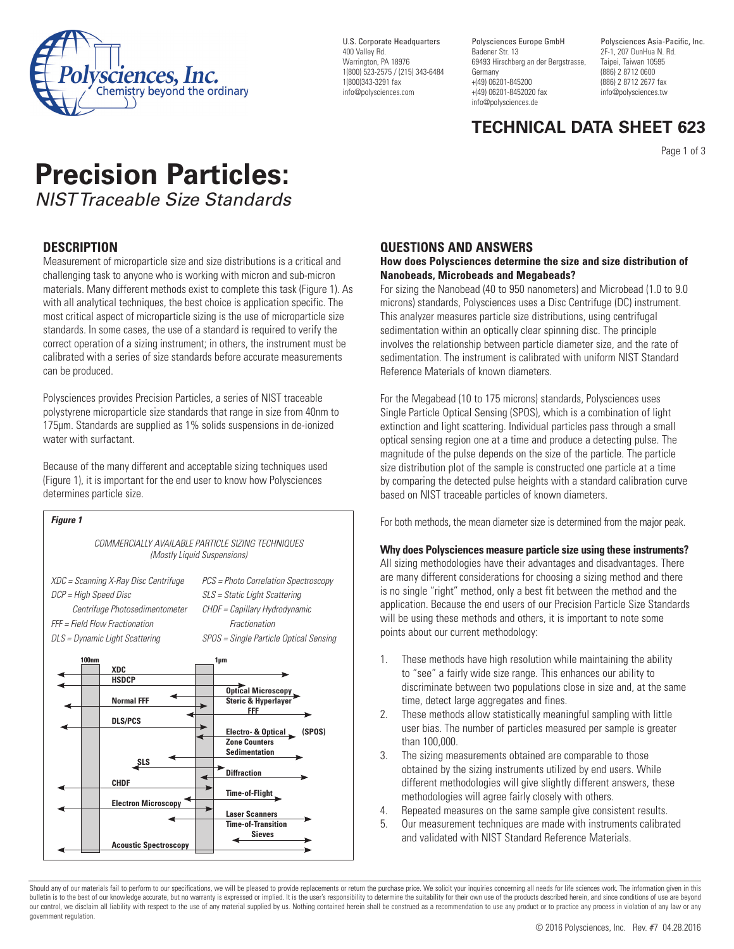

U.S. Corporate Headquarters 400 Valley Rd. Warrington, PA 18976 1(800) 523-2575 / (215) 343-6484 1(800)343-3291 fax info@polysciences.com

Polysciences Europe GmbH Badener Str. 13 69493 Hirschberg an der Bergstrasse, Germany +(49) 06201-845200 +(49) 06201-8452020 fax info@polysciences.de

Polysciences Asia-Pacific, Inc. 2F-1, 207 DunHua N. Rd. Taipei, Taiwan 10595 (886) 2 8712 0600 (886) 2 8712 2677 fax info@polysciences.tw

# **TECHNICAL DATA SHEET 623**

Page 1 of 3

# **Precision Particles:**  *NIST Traceable Size Standards*

## **DESCRIPTION**

Measurement of microparticle size and size distributions is a critical and challenging task to anyone who is working with micron and sub-micron materials. Many different methods exist to complete this task (Figure 1). As with all analytical techniques, the best choice is application specific. The most critical aspect of microparticle sizing is the use of microparticle size standards. In some cases, the use of a standard is required to verify the correct operation of a sizing instrument; in others, the instrument must be calibrated with a series of size standards before accurate measurements can be produced.

Polysciences provides Precision Particles, a series of NIST traceable polystyrene microparticle size standards that range in size from 40nm to 175µm. Standards are supplied as 1% solids suspensions in de-ionized water with surfactant.

Because of the many different and acceptable sizing techniques used (Figure 1), it is important for the end user to know how Polysciences determines particle size.

## *Figure 1*

*COMMERCIALLY AVAILABLE PARTICLE SIZING TECHNIQUES (Mostly Liquid Suspensions)*

*XDC = Scanning X-Ray Disc Centrifuge PCS = Photo Correlation Spectroscopy DCP = High Speed Disc SLS = Static Light Scattering Centrifuge Photosedimentometer CHDF = Capillary Hydrodynamic FFF = Field Flow Fractionation Fractionation DLS = Dynamic Light Scattering SPOS = Single Particle Optical Sensing*

**100nm 1µm XDC HSDCP Optical Microscopy Normal FFF Steric & Hyperlayer FFF DLS/PCS Electro- & Optical (SPOS) Zone Counters Sedimentation SLS** *<u>Diffraction</u>* **CHDF Time-of-Flight Electron Microscopy Laser Scanners Time-of-Transition Sieves Acoustic Spectroscopy**

#### **QUESTIONS AND ANSWERS**

#### **How does Polysciences determine the size and size distribution of Nanobeads, Microbeads and Megabeads?**

For sizing the Nanobead (40 to 950 nanometers) and Microbead (1.0 to 9.0 microns) standards, Polysciences uses a Disc Centrifuge (DC) instrument. This analyzer measures particle size distributions, using centrifugal sedimentation within an optically clear spinning disc. The principle involves the relationship between particle diameter size, and the rate of sedimentation. The instrument is calibrated with uniform NIST Standard Reference Materials of known diameters.

For the Megabead (10 to 175 microns) standards, Polysciences uses Single Particle Optical Sensing (SPOS), which is a combination of light extinction and light scattering. Individual particles pass through a small optical sensing region one at a time and produce a detecting pulse. The magnitude of the pulse depends on the size of the particle. The particle size distribution plot of the sample is constructed one particle at a time by comparing the detected pulse heights with a standard calibration curve based on NIST traceable particles of known diameters.

For both methods, the mean diameter size is determined from the major peak.

#### **Why does Polysciences measure particle size using these instruments?**

All sizing methodologies have their advantages and disadvantages. There are many different considerations for choosing a sizing method and there is no single "right" method, only a best fit between the method and the application. Because the end users of our Precision Particle Size Standards will be using these methods and others, it is important to note some points about our current methodology:

- 1. These methods have high resolution while maintaining the ability to "see" a fairly wide size range. This enhances our ability to discriminate between two populations close in size and, at the same time, detect large aggregates and fines.
- 2. These methods allow statistically meaningful sampling with little user bias. The number of particles measured per sample is greater than 100,000.
- 3. The sizing measurements obtained are comparable to those obtained by the sizing instruments utilized by end users. While different methodologies will give slightly different answers, these methodologies will agree fairly closely with others.
- 4. Repeated measures on the same sample give consistent results.
- 5. Our measurement techniques are made with instruments calibrated and validated with NIST Standard Reference Materials.

Should any of our materials fail to perform to our specifications, we will be pleased to provide replacements or return the purchase price. We solicit your inquiries concerning all needs for life sciences work. The informa bulletin is to the best of our knowledge accurate, but no warranty is expressed or implied. It is the user's responsibility to determine the suitability for their own use of the products described herein, and since conditi our control, we disclaim all liability with respect to the use of any material supplied by us. Nothing contained herein shall be construed as a recommendation to use any product or to practice any process in violation of a government regulation.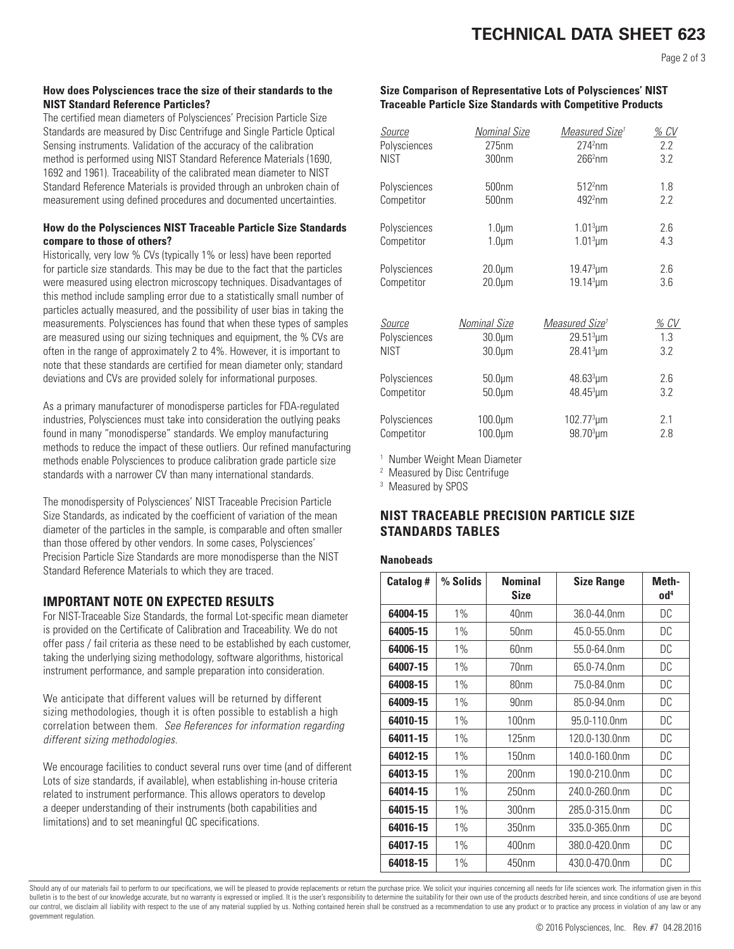# **TECHNICAL DATA SHEET 623**

#### **How does Polysciences trace the size of their standards to the NIST Standard Reference Particles?**

The certified mean diameters of Polysciences' Precision Particle Size Standards are measured by Disc Centrifuge and Single Particle Optical Sensing instruments. Validation of the accuracy of the calibration method is performed using NIST Standard Reference Materials (1690, 1692 and 1961). Traceability of the calibrated mean diameter to NIST Standard Reference Materials is provided through an unbroken chain of measurement using defined procedures and documented uncertainties.

#### **How do the Polysciences NIST Traceable Particle Size Standards compare to those of others?**

Historically, very low % CVs (typically 1% or less) have been reported for particle size standards. This may be due to the fact that the particles were measured using electron microscopy techniques. Disadvantages of this method include sampling error due to a statistically small number of particles actually measured, and the possibility of user bias in taking the measurements. Polysciences has found that when these types of samples are measured using our sizing techniques and equipment, the % CVs are often in the range of approximately 2 to 4%. However, it is important to note that these standards are certified for mean diameter only; standard deviations and CVs are provided solely for informational purposes.

As a primary manufacturer of monodisperse particles for FDA-regulated industries, Polysciences must take into consideration the outlying peaks found in many "monodisperse" standards. We employ manufacturing methods to reduce the impact of these outliers. Our refined manufacturing methods enable Polysciences to produce calibration grade particle size standards with a narrower CV than many international standards.

The monodispersity of Polysciences' NIST Traceable Precision Particle Size Standards, as indicated by the coefficient of variation of the mean diameter of the particles in the sample, is comparable and often smaller than those offered by other vendors. In some cases, Polysciences' Precision Particle Size Standards are more monodisperse than the NIST Standard Reference Materials to which they are traced.

## **IMPORTANT NOTE ON EXPECTED RESULTS**

For NIST-Traceable Size Standards, the formal Lot-specific mean diameter is provided on the Certificate of Calibration and Traceability. We do not offer pass / fail criteria as these need to be established by each customer, taking the underlying sizing methodology, software algorithms, historical instrument performance, and sample preparation into consideration.

We anticipate that different values will be returned by different sizing methodologies, though it is often possible to establish a high correlation between them. *See References for information regarding different sizing methodologies.* 

We encourage facilities to conduct several runs over time (and of different Lots of size standards, if available), when establishing in-house criteria related to instrument performance. This allows operators to develop a deeper understanding of their instruments (both capabilities and limitations) and to set meaningful QC specifications.

#### **Size Comparison of Representative Lots of Polysciences' NIST Traceable Particle Size Standards with Competitive Products**

| Source        | <b>Nominal Size</b> | Measured Size <sup>1</sup> | $%$ $CV$         |
|---------------|---------------------|----------------------------|------------------|
| Polysciences  | 275nm               | $2742$ nm                  | $2.2\phantom{0}$ |
| <b>NIST</b>   | 300nm               | 266 <sup>2</sup> nm        | 3.2              |
| Polysciences  | 500 <sub>nm</sub>   | 512 <sup>2</sup> nm        | 1.8              |
| Competitor    | 500 <sub>nm</sub>   | $4922$ nm                  | 2.2              |
| Polysciences  | $1.0 \mu m$         | $1.013 \mu m$              | 2.6              |
| Competitor    | $1.0 \mu m$         | $1.013 \mu m$              | 4.3              |
| Polysciences  | $20.0 \mu m$        | $19.47^{3}$ µm             | 2.6              |
| Competitor    | $20.0 \mu m$        | $19.14^{3}$ µm             | 3.6              |
| <b>Source</b> | Nominal Size        | Measured Size <sup>1</sup> | <u>% CV</u>      |
| Polysciences  | $30.0 \mu m$        | $29.51^{3}$ um             | 1.3              |
| <b>NIST</b>   | $30.0 \mu m$        | $28.41^{3}$ µm             | 3.2              |
| Polysciences  | $50.0 \mu m$        | $48.63^{3} \mu m$          | 2.6              |
| Competitor    | $50.0 \mu m$        | $48.45^{3}$ µm             | 3.2              |
| Polysciences  | $100.0 \mu m$       | $102.773 \mu m$            | 2.1              |
| Competitor    | $100.0 \mu m$       | 98.70 <sup>3</sup> µm      | 2.8              |

1 Number Weight Mean Diameter

2 Measured by Disc Centrifuge

3 Measured by SPOS

## **NIST TRACEABLE PRECISION PARTICLE SIZE STANDARDS TABLES**

#### **Nanobeads**

| <b>Catalog#</b> | % Solids | <b>Nominal</b><br><b>Size</b> | <b>Size Range</b> | Meth-<br>$\mathbf{0} \mathbf{d}^4$ |
|-----------------|----------|-------------------------------|-------------------|------------------------------------|
| 64004-15        | $1\%$    | 40 <sub>nm</sub>              | 36.0-44.0nm       | DC                                 |
| 64005-15        | 1%       | 50 <sub>nm</sub>              | 45.0-55.0nm       | DC                                 |
| 64006-15        | 1%       | 60 <sub>nm</sub>              | 55.0-64.0nm       | DC                                 |
| 64007-15        | 1%       | 70 <sub>nm</sub>              | 65.0-74.0nm       | DC.                                |
| 64008-15        | 1%       | 80 <sub>nm</sub>              | 75.0-84.0nm       | DC                                 |
| 64009-15        | 1%       | 90 <sub>nm</sub>              | 85.0-94.0nm       | DC                                 |
| 64010-15        | 1%       | 100 <sub>nm</sub>             | 95.0-110.0nm      | DC                                 |
| 64011-15        | 1%       | 125nm                         | 120.0-130.0nm     | DC                                 |
| 64012-15        | 1%       | 150 <sub>nm</sub>             | 140.0-160.0nm     | DC                                 |
| 64013-15        | 1%       | 200 <sub>nm</sub>             | 190.0-210.0nm     | DC                                 |
| 64014-15        | 1%       | 250 <sub>nm</sub>             | 240.0-260.0nm     | DC                                 |
| 64015-15        | 1%       | 300 <sub>nm</sub>             | 285.0-315.0nm     | DC                                 |
| 64016-15        | 1%       | 350 <sub>nm</sub>             | 335.0-365.0nm     | DC                                 |
| 64017-15        | $1\%$    | 400 <sub>nm</sub>             | 380.0-420.0nm     | DC                                 |
| 64018-15        | 1%       | 450 <sub>nm</sub>             | 430.0-470.0nm     | DC                                 |

Should any of our materials fail to perform to our specifications, we will be pleased to provide replacements or return the purchase price. We solicit your inquiries concerning all needs for life sciences work. The informa bulletin is to the best of our knowledge accurate, but no warranty is expressed or implied. It is the user's responsibility to determine the suitability for their own use of the products described herein, and since conditi our control, we disclaim all liability with respect to the use of any material supplied by us. Nothing contained herein shall be construed as a recommendation to use any product or to practice any process in violation of a government regulation.